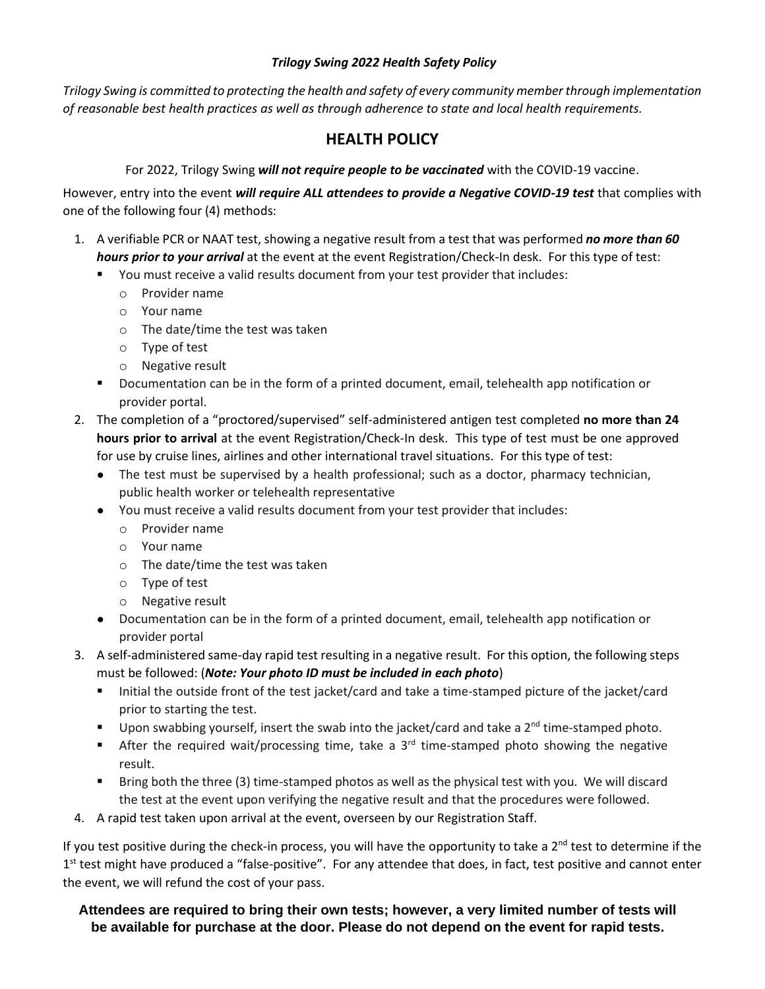## *Trilogy Swing 2022 Health Safety Policy*

*Trilogy Swing is committed to protecting the health and safety of every community member through implementation of reasonable best health practices as well as through adherence to state and local health requirements.*

## **HEALTH POLICY**

## For 2022, Trilogy Swing *will not require people to be vaccinated* with the COVID-19 vaccine.

However, entry into the event *will require ALL attendees to provide a Negative COVID-19 test* that complies with one of the following four (4) methods:

- 1. A verifiable PCR or NAAT test, showing a negative result from a test that was performed *no more than 60 hours prior to your arrival* at the event at the event Registration/Check-In desk. For this type of test:
	- You must receive a valid results document from your test provider that includes:
		- o Provider name
		- o Your name
		- o The date/time the test was taken
		- o Type of test
		- o Negative result
	- Documentation can be in the form of a printed document, email, telehealth app notification or provider portal.
- 2. The completion of a "proctored/supervised" self-administered antigen test completed **no more than 24 hours prior to arrival** at the event Registration/Check-In desk. This type of test must be one approved for use by cruise lines, airlines and other international travel situations. For this type of test:
	- The test must be supervised by a health professional; such as a doctor, pharmacy technician, public health worker or telehealth representative
	- You must receive a valid results document from your test provider that includes:
		- o Provider name
		- o Your name
		- o The date/time the test was taken
		- o Type of test
		- o Negative result
	- Documentation can be in the form of a printed document, email, telehealth app notification or provider portal
- 3. A self-administered same-day rapid test resulting in a negative result. For this option, the following steps must be followed: (*Note: Your photo ID must be included in each photo*)
	- Initial the outside front of the test jacket/card and take a time-stamped picture of the jacket/card prior to starting the test.
	- Upon swabbing yourself, insert the swab into the jacket/card and take a 2<sup>nd</sup> time-stamped photo.
	- **EXECT** After the required wait/processing time, take a  $3<sup>rd</sup>$  time-stamped photo showing the negative result.
	- Bring both the three (3) time-stamped photos as well as the physical test with you. We will discard the test at the event upon verifying the negative result and that the procedures were followed.
- 4. A rapid test taken upon arrival at the event, overseen by our Registration Staff.

If you test positive during the check-in process, you will have the opportunity to take a  $2^{nd}$  test to determine if the 1<sup>st</sup> test might have produced a "false-positive". For any attendee that does, in fact, test positive and cannot enter the event, we will refund the cost of your pass.

## **Attendees are required to bring their own tests; however, a very limited number of tests will be available for purchase at the door. Please do not depend on the event for rapid tests.**